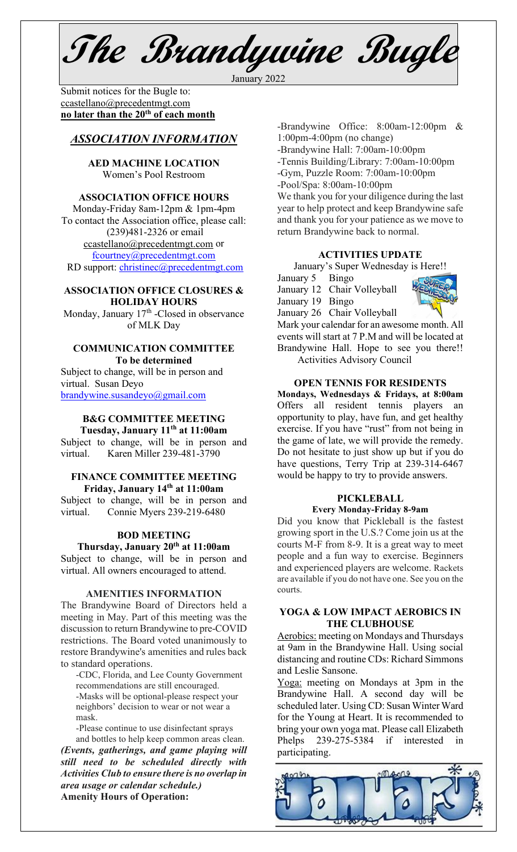**The Brandywine Bugle**

January 2022

Submit notices for the Bugle to:[ccastellano@precedentmgt.com](mailto:johnandbethgrooms@gmail.com) **no later than the 20th of each month**

# *ASSOCIATION INFORMATION*

**AED MACHINE LOCATION**  Women's Pool Restroom

### **ASSOCIATION OFFICE HOURS**

Monday-Friday 8am-12pm & 1pm-4pm To contact the Association office, please call: (239)481-2326 or email [ccastellano@precedentmgt.com](mailto:ccastellano@precedentmgt.com) or

[fcourtney@precedentmgt.com](mailto:fcourtney@precedentmgt.com) RD support: [christinec@precedentmgt.com](mailto:christinec@precedentmgt.com)

# **ASSOCIATION OFFICE CLOSURES &**

# **HOLIDAY HOURS**

Monday, January  $17<sup>th</sup>$  -Closed in observance of MLK Day

#### **COMMUNICATION COMMITTEE To be determined**

Subject to change, will be in person and virtual. Susan Deyo [brandywine.susandeyo@gmail.com](mailto:brandywine.susandeyo@gmail.com)

### **B&G COMMITTEE MEETING Tuesday, January 11th at 11:00am**

Subject to change, will be in person and virtual. Karen Miller 239-481-3790

### **FINANCE COMMITTEE MEETING Friday, January 14th at 11:00am**

Subject to change, will be in person and virtual. Connie Myers 239-219-6480

# **BOD MEETING**

**Thursday, January 20th at 11:00am** Subject to change, will be in person and virtual. All owners encouraged to attend.

#### **AMENITIES INFORMATION**

The Brandywine Board of Directors held a meeting in May. Part of this meeting was the discussion to return Brandywine to pre-COVID restrictions. The Board voted unanimously to restore Brandywine's amenities and rules back to standard operations.

-CDC, Florida, and Lee County Government recommendations are still encouraged. -Masks will be optional-please respect your neighbors' decision to wear or not wear a

mask. -Please continue to use disinfectant sprays

and bottles to help keep common areas clean. *(Events, gatherings, and game playing will still need to be scheduled directly with Activities Club to ensure there is no overlap in area usage or calendar schedule.)* **Amenity Hours of Operation:**

-Brandywine Office: 8:00am-12:00pm & 1:00pm-4:00pm (no change) -Brandywine Hall: 7:00am-10:00pm -Tennis Building/Library: 7:00am-10:00pm

-Gym, Puzzle Room: 7:00am-10:00pm

-Pool/Spa: 8:00am-10:00pm

We thank you for your diligence during the last year to help protect and keep Brandywine safe and thank you for your patience as we move to return Brandywine back to normal.

### **ACTIVITIES UPDATE**

January's Super Wednesday is Here!!

January 5 Bingo

January 12 Chair Volleyball

# January 19 Bingo



January 26 Chair Volleyball Mark your calendar for an awesome month. All events will start at 7 P.M and will be located at Brandywine Hall. Hope to see you there!! Activities Advisory Council

### **OPEN TENNIS FOR RESIDENTS**

**Mondays, Wednesdays & Fridays, at 8:00am** Offers all resident tennis players an opportunity to play, have fun, and get healthy exercise. If you have "rust" from not being in the game of late, we will provide the remedy. Do not hesitate to just show up but if you do have questions, Terry Trip at 239-314-6467 would be happy to try to provide answers.

#### **PICKLEBALL Every Monday-Friday 8-9am**

Did you know that Pickleball is the fastest growing sport in the U.S.? Come join us at the courts M-F from 8-9. It is a great way to meet people and a fun way to exercise. Beginners and experienced players are welcome. Rackets are available if you do not have one. See you on the courts.

# **YOGA & LOW IMPACT AEROBICS IN THE CLUBHOUSE**

Aerobics: meeting on Mondays and Thursdays at 9am in the Brandywine Hall. Using social distancing and routine CDs: Richard Simmons and Leslie Sansone.

Yoga: meeting on Mondays at 3pm in the Brandywine Hall. A second day will be scheduled later. Using CD: Susan Winter Ward for the Young at Heart. It is recommended to bring your own yoga mat. Please call Elizabeth Phelps 239-275-5384 if interested in participating.

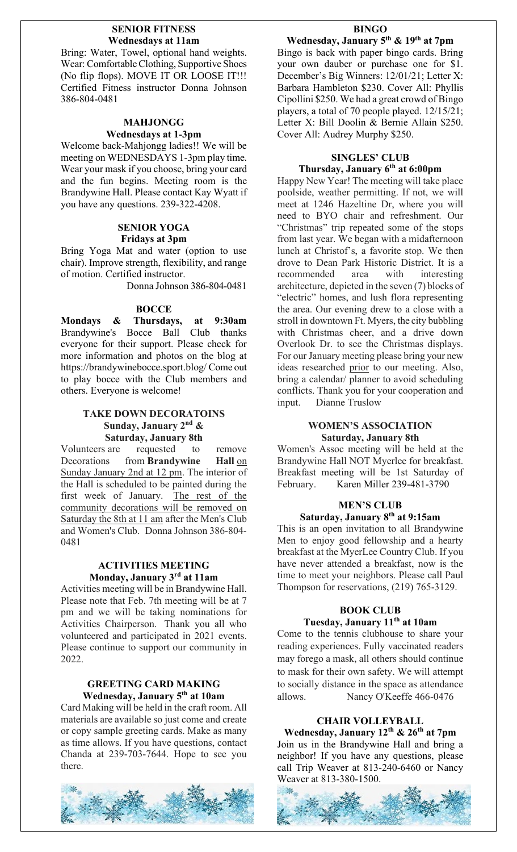#### **SENIOR FITNESS Wednesdays at 11am**

Bring: Water, Towel, optional hand weights. Wear: Comfortable Clothing, Supportive Shoes (No flip flops). MOVE IT OR LOOSE IT!!! Certified Fitness instructor Donna Johnson 386-804-0481

# **MAHJONGG Wednesdays at 1-3pm**

Welcome back-Mahjongg ladies!! We will be meeting on WEDNESDAYS 1-3pm play time. Wear your mask if you choose, bring your card and the fun begins. Meeting room is the Brandywine Hall. Please contact Kay Wyatt if you have any questions. 239-322-4208.

# **SENIOR YOGA Fridays at 3pm**

Bring Yoga Mat and water (option to use chair). Improve strength, flexibility, and range of motion. Certified instructor.

Donna Johnson 386-804-0481

# **BOCCE**

**Mondays & Thursdays, at 9:30am** Brandywine's Bocce Ball Club thanks everyone for their support. Please check for more information and photos on the blog at https://brandywinebocce.sport.blog/ Come out to play bocce with the Club members and others. Everyone is welcome!

# **TAKE DOWN DECORATOINS Sunday, January 2nd & Saturday, January 8th**

Volunteers are requested to remove Decorations from **Brandywine Hall** on Sunday January 2nd at 12 pm. The interior of the Hall is scheduled to be painted during the first week of January. The rest of the community decorations will be removed on Saturday the 8th at 11 am after the Men's Club and Women's Club. Donna Johnson 386-804- 0481

# **ACTIVITIES MEETING Monday, January 3rd at 11am**

Activities meeting will be in Brandywine Hall. Please note that Feb. 7th meeting will be at 7 pm and we will be taking nominations for Activities Chairperson. Thank you all who volunteered and participated in 2021 events. Please continue to support our community in 2022.

#### **GREETING CARD MAKING Wednesday, January 5th at 10am**

Card Making will be held in the craft room. All materials are available so just come and create or copy sample greeting cards. Make as many as time allows. If you have questions, contact Chanda at 239-703-7644. Hope to see you there.



#### **BINGO**

**Wednesday, January 5th & 19th at 7pm** Bingo is back with paper bingo cards. Bring your own dauber or purchase one for \$1. December's Big Winners: 12/01/21; Letter X: Barbara Hambleton \$230. Cover All: Phyllis Cipollini \$250. We had a great crowd of Bingo players, a total of 70 people played. 12/15/21; Letter X: Bill Doolin & Bernie Allain \$250. Cover All: Audrey Murphy \$250.

# **SINGLES' CLUB Thursday, January 6th at 6:00pm**

Happy New Year! The meeting will take place poolside, weather permitting. If not, we will meet at 1246 Hazeltine Dr, where you will need to BYO chair and refreshment. Our "Christmas" trip repeated some of the stops from last year. We began with a midafternoon lunch at Christof's, a favorite stop. We then drove to Dean Park Historic District. It is a recommended area with interesting architecture, depicted in the seven (7) blocks of "electric" homes, and lush flora representing the area. Our evening drew to a close with a stroll in downtown Ft. Myers, the city bubbling with Christmas cheer, and a drive down Overlook Dr. to see the Christmas displays. For our January meeting please bring your new ideas researched prior to our meeting. Also, bring a calendar/ planner to avoid scheduling conflicts. Thank you for your cooperation and input. Dianne Truslow

### **WOMEN'S ASSOCIATION Saturday, January 8th**

Women's Assoc meeting will be held at the Brandywine Hall NOT Myerlee for breakfast. Breakfast meeting will be 1st Saturday of February. Karen Miller 239-481-3790

# **MEN'S CLUB Saturday, January 8th at 9:15am**

This is an open invitation to all Brandywine Men to enjoy good fellowship and a hearty breakfast at the MyerLee Country Club. If you have never attended a breakfast, now is the time to meet your neighbors. Please call Paul Thompson for reservations, (219) 765-3129.

# **BOOK CLUB**

# **Tuesday, January 11th at 10am**

Come to the tennis clubhouse to share your reading experiences. Fully vaccinated readers may forego a mask, all others should continue to mask for their own safety. We will attempt to socially distance in the space as attendance allows. Nancy O'Keeffe 466-0476

# **CHAIR VOLLEYBALL**

**Wednesday, January 12th & 26th at 7pm** Join us in the Brandywine Hall and bring a neighbor! If you have any questions, please call Trip Weaver at 813-240-6460 or Nancy Weaver at 813-380-1500.

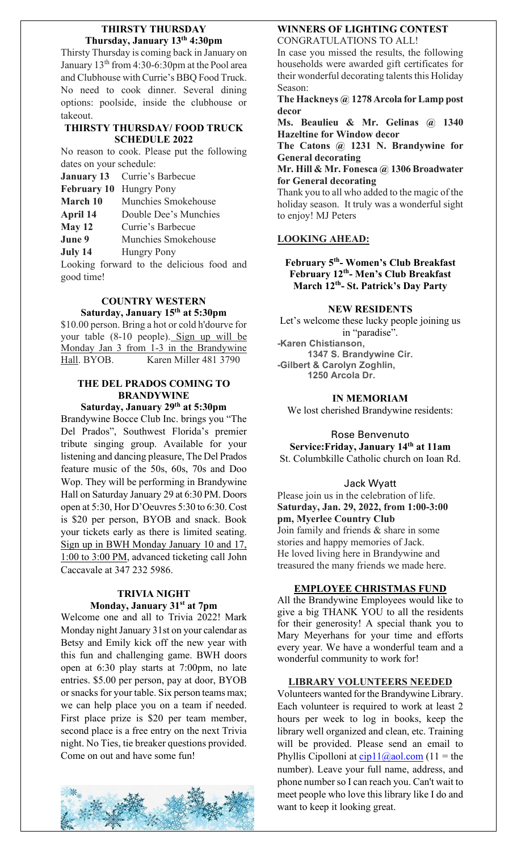### **THIRSTY THURSDAY Thursday, January 13th 4:30pm**

Thirsty Thursday is coming back in January on January 13<sup>th</sup> from 4:30-6:30pm at the Pool area and Clubhouse with Currie's BBQ Food Truck. No need to cook dinner. Several dining options: poolside, inside the clubhouse or takeout.

# **THIRSTY THURSDAY/ FOOD TRUCK SCHEDULE 2022**

No reason to cook. Please put the following dates on your schedule:

| <b>January 13</b> Currie's Barbecue |
|-------------------------------------|
| February 10 Hungry Pony             |

**March 10** Munchies Smokehouse

**April 14** Double Dee's Munchies

**May 12** Currie's Barbecue

**June 9** Munchies Smokehouse

**July 14** Hungry Pony

Looking forward to the delicious food and good time!

# **COUNTRY WESTERN Saturday, January 15th at 5:30pm**

\$10.00 person. Bring a hot or cold h'dourve for your table (8-10 people). Sign up will be Monday Jan 3 from 1-3 in the Brandywine Hall. BYOB. Karen Miller 481 3790

# **THE DEL PRADOS COMING TO BRANDYWINE**

### **Saturday, January 29th at 5:30pm**

Brandywine Bocce Club Inc. brings you "The Del Prados", Southwest Florida's premier tribute singing group. Available for your listening and dancing pleasure, The Del Prados feature music of the 50s, 60s, 70s and Doo Wop. They will be performing in Brandywine Hall on Saturday January 29 at 6:30 PM. Doors open at 5:30, Hor D'Oeuvres 5:30 to 6:30. Cost is \$20 per person, BYOB and snack. Book your tickets early as there is limited seating. Sign up in BWH Monday January 10 and 17, 1:00 to 3:00 PM, advanced ticketing call John Caccavale at 347 232 5986.

# **TRIVIA NIGHT Monday, January 31st at 7pm**

Welcome one and all to Trivia 2022! Mark Monday night January 31st on your calendar as Betsy and Emily kick off the new year with this fun and challenging game. BWH doors open at 6:30 play starts at 7:00pm, no late entries. \$5.00 per person, pay at door, BYOB or snacks for your table. Six person teams max; we can help place you on a team if needed. First place prize is \$20 per team member, second place is a free entry on the next Trivia night. No Ties, tie breaker questions provided. Come on out and have some fun!



# **WINNERS OF LIGHTING CONTEST**

CONGRATULATIONS TO ALL!

In case you missed the results, the following households were awarded gift certificates for their wonderful decorating talents this Holiday Season:

**The Hackneys @ 1278 Arcola for Lamp post decor**

**Ms. Beaulieu & Mr. Gelinas @ 1340 Hazeltine for Window decor**

**The Catons @ 1231 N. Brandywine for General decorating**

**Mr. Hill & Mr. Fonesca @ 1306 Broadwater for General decorating**

Thank you to all who added to the magic of the holiday season. It truly was a wonderful sight to enjoy! MJ Peters

# **LOOKING AHEAD:**

**February 5th- Women's Club Breakfast February 12th- Men's Club Breakfast March 12th- St. Patrick's Day Party**

### **NEW RESIDENTS**

Let's welcome these lucky people joining us in "paradise". **-Karen Chistianson, 1347 S. Brandywine Cir. -Gilbert & Carolyn Zoghlin, 1250 Arcola Dr.**

### **IN MEMORIAM**

We lost cherished Brandywine residents:

### Rose Benvenuto **Service:Friday, January 14th at 11am** St. Columbkille Catholic church on Ioan Rd.

# Jack Wyatt

Please join us in the celebration of life. **Saturday, Jan. 29, 2022, from 1:00-3:00 pm, Myerlee Country Club** Join family and friends & share in some stories and happy memories of Jack. He loved living here in Brandywine and treasured the many friends we made here.

# **EMPLOYEE CHRISTMAS FUND**

All the Brandywine Employees would like to give a big THANK YOU to all the residents for their generosity! A special thank you to Mary Meyerhans for your time and efforts every year. We have a wonderful team and a wonderful community to work for!

# **LIBRARY VOLUNTEERS NEEDED**

Volunteers wanted for the Brandywine Library. Each volunteer is required to work at least 2 hours per week to log in books, keep the library well organized and clean, etc. Training will be provided. Please send an email to Phyllis Cipolloni at  $\frac{\text{cip11}(Q)}{\text{ao1.com}}$  (11 = the number). Leave your full name, address, and phone number so I can reach you. Can't wait to meet people who love this library like I do and want to keep it looking great.